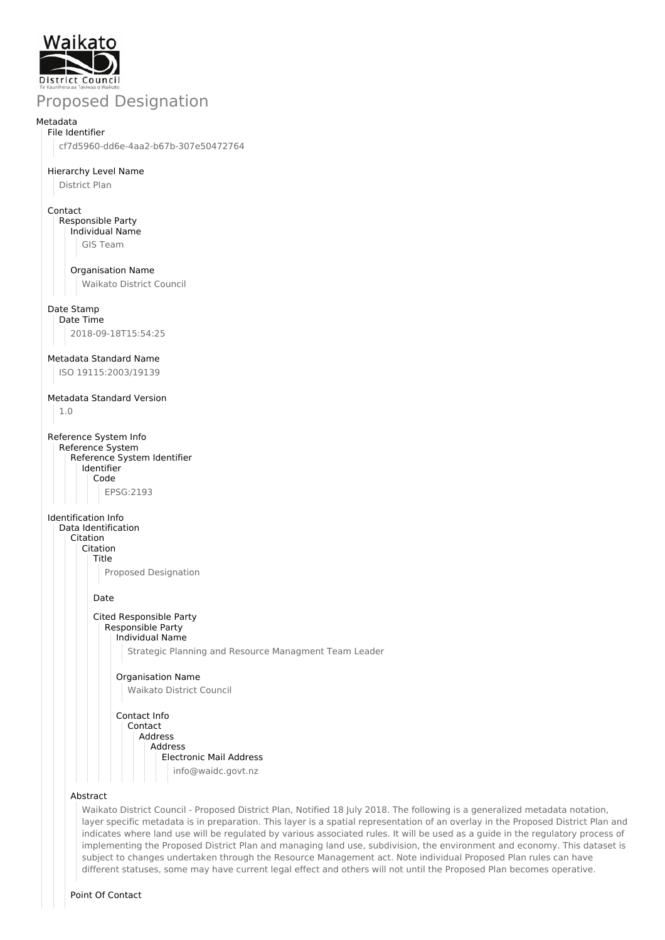

# Proposed Designation

#### Metadata File Identifier

cf7d5960-dd6e-4aa2-b67b-307e50472764

### Hierarchy Level Name

District Plan

### Contact

Responsible Party Individual Name GIS Team

Organisation Name

Waikato District Council

## Date Stamp

Date Time 2018-09-18T15:54:25

### Metadata Standard Name

ISO 19115:2003/19139

## Metadata Standard Version

1.0

Reference System Info Reference System Reference System Identifier Identifier Code EPSG:2193

### Identification Info

Data Identification Citation Citation Title Proposed Designation Date

### Cited Responsible Party Responsible Party Individual Name

Strategic Planning and Resource Managment Team Leader

## Organisation Name Waikato District Council

Contact Info Contact Address Address Electronic Mail Address info@waidc.govt.nz

### Abstract

Waikato District Council - Proposed District Plan, Notified 18 July 2018. The following is a generalized metadata notation, layer specific metadata is in preparation. This layer is a spatial representation of an overlay in the Proposed District Plan and indicates where land use will be regulated by various associated rules. It will be used as a guide in the regulatory process of implementing the Proposed District Plan and managing land use, subdivision, the environment and economy. This dataset is subject to changes undertaken through the Resource Management act. Note individual Proposed Plan rules can have different statuses, some may have current legal effect and others will not until the Proposed Plan becomes operative.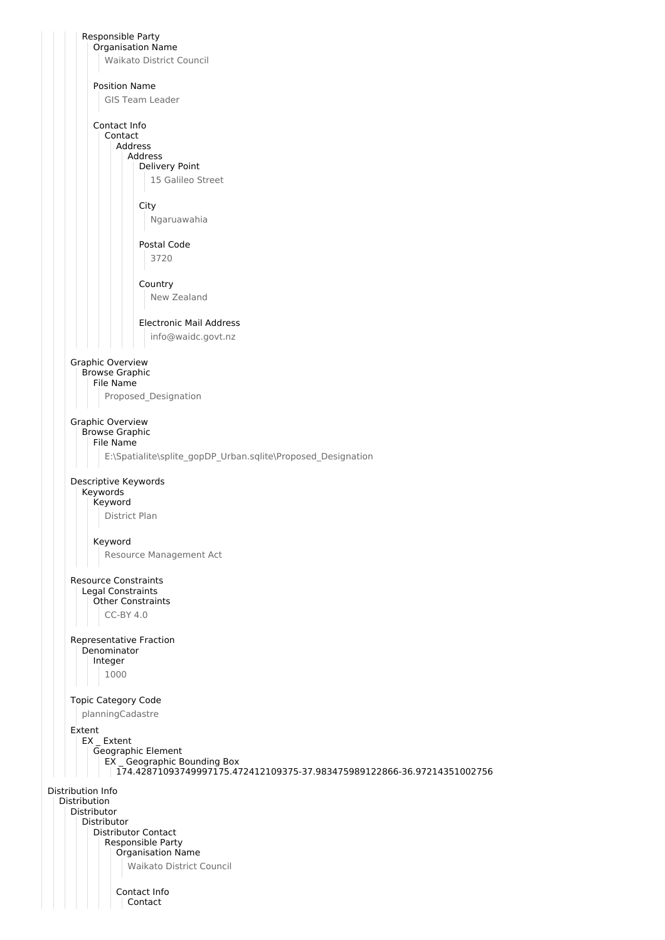